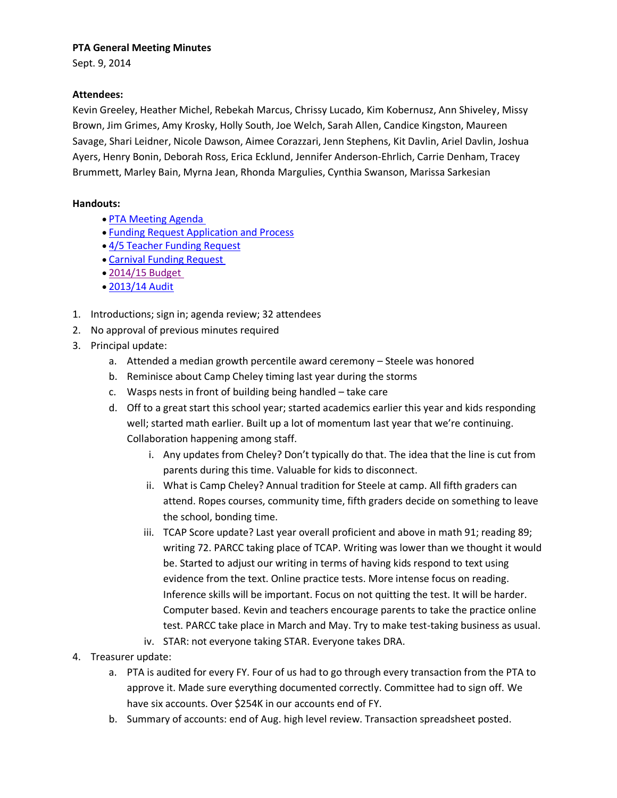#### **PTA General Meeting Minutes**

Sept. 9, 2014

### **Attendees:**

Kevin Greeley, Heather Michel, Rebekah Marcus, Chrissy Lucado, Kim Kobernusz, Ann Shiveley, Missy Brown, Jim Grimes, Amy Krosky, Holly South, Joe Welch, Sarah Allen, Candice Kingston, Maureen Savage, Shari Leidner, Nicole Dawson, Aimee Corazzari, Jenn Stephens, Kit Davlin, Ariel Davlin, Joshua Ayers, Henry Bonin, Deborah Ross, Erica Ecklund, Jennifer Anderson-Ehrlich, Carrie Denham, Tracey Brummett, Marley Bain, Myrna Jean, Rhonda Margulies, Cynthia Swanson, Marissa Sarkesian

### **Handouts:**

- [PTA Meeting Agenda](http://r20.rs6.net/tn.jsp?f=001XI_UX5sD5sXzwbeG7J-zcJElWt-0wt2oXpUhRNBw_LYhntbwt6zcv66DsBHIB90m69PGPvqQh0LTkpN6fvHUFDDTyhSuyll75skGZ1Eae6HHtiSYYZS_Oh7Emq29N1bEZjnrsr-M0rfm9sncOnPGs4FODl2UWco-hGVpJ0wbI6ZSg3AmEvRquiBRreaIEhxRHRTg9HquZ18fqdcuABFaY9Jp71HjU-qZnLgmCsq-9GI=&c=ST9F779bTV45jj_nTeOCZZDUurxKQ7l3APvn7GzFcp4v4jwdkuIRdg==&ch=Z_DxUop8g1KhKukLBUksbmuJvAooOT_A_w6ceXHDKT-vm-OBWz_O9A==)
- [Funding Request Application and Process](http://r20.rs6.net/tn.jsp?f=001XI_UX5sD5sXzwbeG7J-zcJElWt-0wt2oXpUhRNBw_LYhntbwt6zcv66DsBHIB90mW_3PjeQTyOgpsqtALOAHhA6ifhIwMqq5Yjx5dTwwOnCY1JEZ61As7OXcH7uRDpeW-_e49jyHUF2tuAs4Qx3wdf512X6hN3Ei_Rm0deJNnMap56DpTfa7DUBgz4E6ytP6rqhFGF-U4pRUdBRVYLz4MmDPqkErs4Vh4Gq4xm5aCnQ=&c=ST9F779bTV45jj_nTeOCZZDUurxKQ7l3APvn7GzFcp4v4jwdkuIRdg==&ch=Z_DxUop8g1KhKukLBUksbmuJvAooOT_A_w6ceXHDKT-vm-OBWz_O9A==)
- [4/5 Teacher Funding Request](http://r20.rs6.net/tn.jsp?f=001XI_UX5sD5sXzwbeG7J-zcJElWt-0wt2oXpUhRNBw_LYhntbwt6zcv66DsBHIB90mV6dLvhSNX_jIWcRLT5y0qu2bbcyTpDl8XnYzDpE2E9BckKTK0RdfNzSvpx3n_gPWuTU60ofq1Fb9EKOrmgAfnPQy57rErjFo5BS_V-8Wz-XFlk3CI5WRENNbSB2xUv9X4opcSJWJL2uTIV19G2alSORoIMvpySK3xVZGn6zLgV0=&c=ST9F779bTV45jj_nTeOCZZDUurxKQ7l3APvn7GzFcp4v4jwdkuIRdg==&ch=Z_DxUop8g1KhKukLBUksbmuJvAooOT_A_w6ceXHDKT-vm-OBWz_O9A==)
- [Carnival Funding Request](http://r20.rs6.net/tn.jsp?f=001XI_UX5sD5sXzwbeG7J-zcJElWt-0wt2oXpUhRNBw_LYhntbwt6zcv66DsBHIB90mXjS2d3YqxrKw7yV9H69aqOfuxUYfRoa3gaY8Gx-0PROnp7VUWmWs7SoUoWnzm7zVBnxhz_ciS_gUG9aCg1En43C80nmqH72z2QFycmZppNTxPiG838srhuB2VGgomL1hxRhBAhs2IxRxcAT7NaV0k0v45kECDLp0JAcAjbGDeW8=&c=ST9F779bTV45jj_nTeOCZZDUurxKQ7l3APvn7GzFcp4v4jwdkuIRdg==&ch=Z_DxUop8g1KhKukLBUksbmuJvAooOT_A_w6ceXHDKT-vm-OBWz_O9A==)
- [2014/15 Budget](https://drive.google.com/file/d/0B27nDGsn_CynakZvaDNXZXVPUms/edit?usp=sharing)
- [2013/14 Audit](http://r20.rs6.net/tn.jsp?f=001XI_UX5sD5sXzwbeG7J-zcJElWt-0wt2oXpUhRNBw_LYhntbwt6zcv66DsBHIB90mKuXMSAOnb6jpgdKfM1C2P_synyRDtT-B_783S2dT2J7_UYTYzBUidljzvkquYKSCUowtQkeOxkZZ11PT4gJgs18iCvHhyAk9PgHyUefd0120FJOm4G1MZ2_6FhH_sxNuaqgWscIWlmAUdw7Zr44v8C38IpB_cheNOLmR77E42-M=&c=ST9F779bTV45jj_nTeOCZZDUurxKQ7l3APvn7GzFcp4v4jwdkuIRdg==&ch=Z_DxUop8g1KhKukLBUksbmuJvAooOT_A_w6ceXHDKT-vm-OBWz_O9A==)
- 1. Introductions; sign in; agenda review; 32 attendees
- 2. No approval of previous minutes required
- 3. Principal update:
	- a. Attended a median growth percentile award ceremony Steele was honored
	- b. Reminisce about Camp Cheley timing last year during the storms
	- c. Wasps nests in front of building being handled take care
	- d. Off to a great start this school year; started academics earlier this year and kids responding well; started math earlier. Built up a lot of momentum last year that we're continuing. Collaboration happening among staff.
		- i. Any updates from Cheley? Don't typically do that. The idea that the line is cut from parents during this time. Valuable for kids to disconnect.
		- ii. What is Camp Cheley? Annual tradition for Steele at camp. All fifth graders can attend. Ropes courses, community time, fifth graders decide on something to leave the school, bonding time.
		- iii. TCAP Score update? Last year overall proficient and above in math 91; reading 89; writing 72. PARCC taking place of TCAP. Writing was lower than we thought it would be. Started to adjust our writing in terms of having kids respond to text using evidence from the text. Online practice tests. More intense focus on reading. Inference skills will be important. Focus on not quitting the test. It will be harder. Computer based. Kevin and teachers encourage parents to take the practice online test. PARCC take place in March and May. Try to make test-taking business as usual.
		- iv. STAR: not everyone taking STAR. Everyone takes DRA.
- 4. Treasurer update:
	- a. PTA is audited for every FY. Four of us had to go through every transaction from the PTA to approve it. Made sure everything documented correctly. Committee had to sign off. We have six accounts. Over \$254K in our accounts end of FY.
	- b. Summary of accounts: end of Aug. high level review. Transaction spreadsheet posted.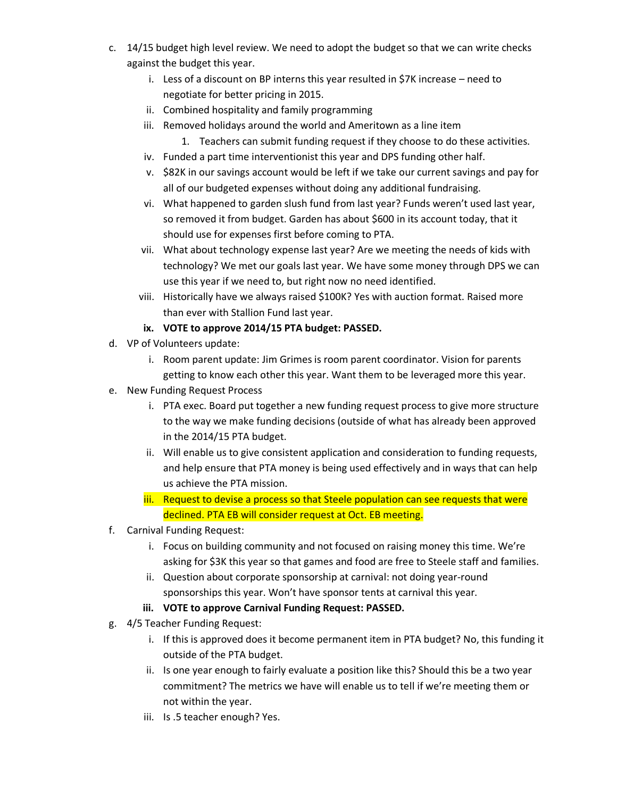- c. 14/15 budget high level review. We need to adopt the budget so that we can write checks against the budget this year.
	- i. Less of a discount on BP interns this year resulted in \$7K increase need to negotiate for better pricing in 2015.
	- ii. Combined hospitality and family programming
	- iii. Removed holidays around the world and Ameritown as a line item
		- 1. Teachers can submit funding request if they choose to do these activities.
	- iv. Funded a part time interventionist this year and DPS funding other half.
	- v. \$82K in our savings account would be left if we take our current savings and pay for all of our budgeted expenses without doing any additional fundraising.
	- vi. What happened to garden slush fund from last year? Funds weren't used last year, so removed it from budget. Garden has about \$600 in its account today, that it should use for expenses first before coming to PTA.
	- vii. What about technology expense last year? Are we meeting the needs of kids with technology? We met our goals last year. We have some money through DPS we can use this year if we need to, but right now no need identified.
	- viii. Historically have we always raised \$100K? Yes with auction format. Raised more than ever with Stallion Fund last year.

## **ix. VOTE to approve 2014/15 PTA budget: PASSED.**

- d. VP of Volunteers update:
	- i. Room parent update: Jim Grimes is room parent coordinator. Vision for parents getting to know each other this year. Want them to be leveraged more this year.
- e. New Funding Request Process
	- i. PTA exec. Board put together a new funding request process to give more structure to the way we make funding decisions (outside of what has already been approved in the 2014/15 PTA budget.
	- ii. Will enable us to give consistent application and consideration to funding requests, and help ensure that PTA money is being used effectively and in ways that can help us achieve the PTA mission.
	- iii. Request to devise a process so that Steele population can see requests that were declined. PTA EB will consider request at Oct. EB meeting.
- f. Carnival Funding Request:
	- i. Focus on building community and not focused on raising money this time. We're asking for \$3K this year so that games and food are free to Steele staff and families.
	- ii. Question about corporate sponsorship at carnival: not doing year-round sponsorships this year. Won't have sponsor tents at carnival this year.
	- **iii. VOTE to approve Carnival Funding Request: PASSED.**
- g. 4/5 Teacher Funding Request:
	- i. If this is approved does it become permanent item in PTA budget? No, this funding it outside of the PTA budget.
	- ii. Is one year enough to fairly evaluate a position like this? Should this be a two year commitment? The metrics we have will enable us to tell if we're meeting them or not within the year.
	- iii. Is .5 teacher enough? Yes.